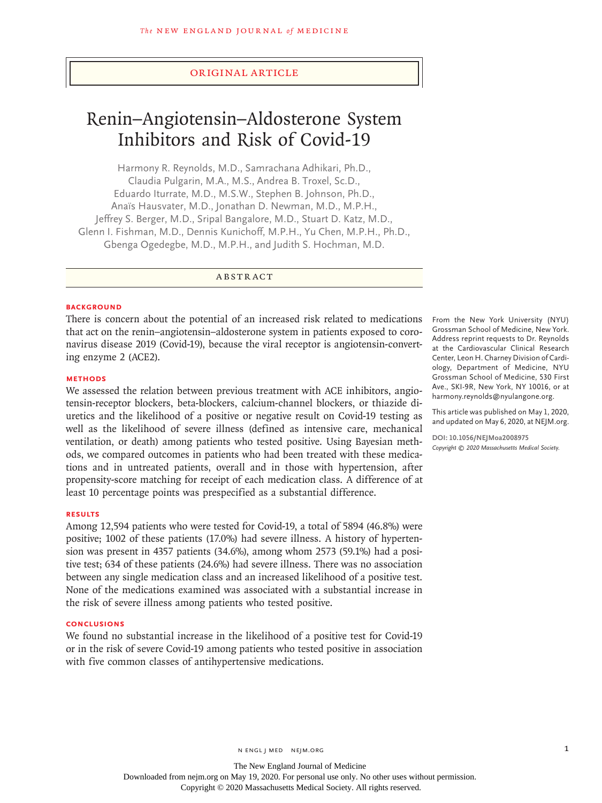#### Original Article

# Renin–Angiotensin–Aldosterone System Inhibitors and Risk of Covid-19

Harmony R. Reynolds, M.D., Samrachana Adhikari, Ph.D., Claudia Pulgarin, M.A., M.S., Andrea B. Troxel, Sc.D., Eduardo Iturrate, M.D., M.S.W., Stephen B. Johnson, Ph.D., Anaïs Hausvater, M.D., Jonathan D. Newman, M.D., M.P.H., Jeffrey S. Berger, M.D., Sripal Bangalore, M.D., Stuart D. Katz, M.D., Glenn I. Fishman, M.D., Dennis Kunichoff, M.P.H., Yu Chen, M.P.H., Ph.D., Gbenga Ogedegbe, M.D., M.P.H., and Judith S. Hochman, M.D.

ABSTRACT

#### **BACKGROUND**

There is concern about the potential of an increased risk related to medications that act on the renin–angiotensin–aldosterone system in patients exposed to coronavirus disease 2019 (Covid-19), because the viral receptor is angiotensin-converting enzyme 2 (ACE2).

#### **METHODS**

We assessed the relation between previous treatment with ACE inhibitors, angiotensin-receptor blockers, beta-blockers, calcium-channel blockers, or thiazide diuretics and the likelihood of a positive or negative result on Covid-19 testing as well as the likelihood of severe illness (defined as intensive care, mechanical ventilation, or death) among patients who tested positive. Using Bayesian methods, we compared outcomes in patients who had been treated with these medications and in untreated patients, overall and in those with hypertension, after propensity-score matching for receipt of each medication class. A difference of at least 10 percentage points was prespecified as a substantial difference.

#### **RESULTS**

Among 12,594 patients who were tested for Covid-19, a total of 5894 (46.8%) were positive; 1002 of these patients (17.0%) had severe illness. A history of hypertension was present in 4357 patients (34.6%), among whom 2573 (59.1%) had a positive test; 634 of these patients (24.6%) had severe illness. There was no association between any single medication class and an increased likelihood of a positive test. None of the medications examined was associated with a substantial increase in the risk of severe illness among patients who tested positive.

#### **CONCLUSIONS**

We found no substantial increase in the likelihood of a positive test for Covid-19 or in the risk of severe Covid-19 among patients who tested positive in association with five common classes of antihypertensive medications.

From the New York University (NYU) Grossman School of Medicine, New York. Address reprint requests to Dr. Reynolds at the Cardiovascular Clinical Research Center, Leon H. Charney Division of Cardiology, Department of Medicine, NYU Grossman School of Medicine, 530 First Ave., SKI-9R, New York, NY 10016, or at harmony.reynolds@nyulangone.org.

This article was published on May 1, 2020, and updated on May 6, 2020, at NEJM.org.

**DOI: 10.1056/NEJMoa2008975** *Copyright © 2020 Massachusetts Medical Society.*

n engl j med nejm.org 1

The New England Journal of Medicine

Downloaded from nejm.org on May 19, 2020. For personal use only. No other uses without permission.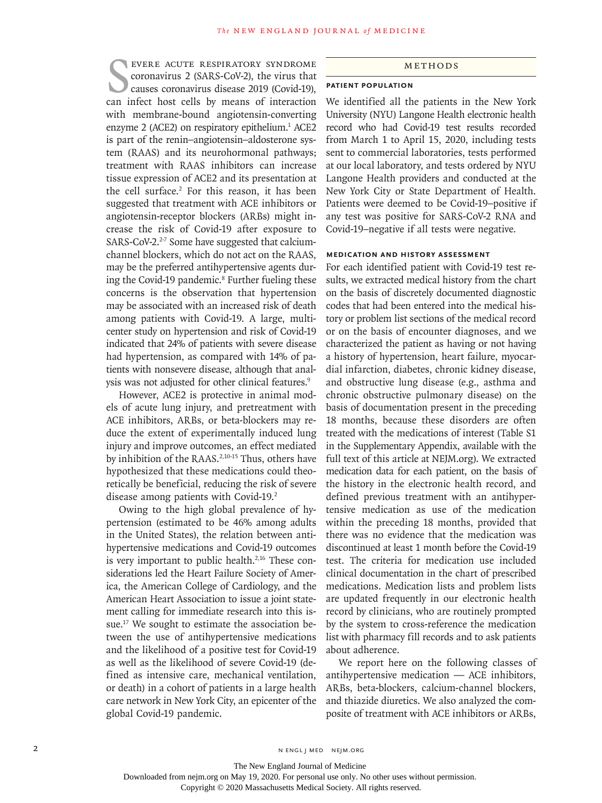EVERE ACUTE RESPIRATORY SYNDROME<br>
coronavirus 2 (SARS-CoV-2), the virus that<br>
causes coronavirus disease 2019 (Covid-19),<br>
can infect host cells by means of interaction evere acute respiratory syndrome coronavirus 2 (SARS-CoV-2), the virus that causes coronavirus disease 2019 (Covid-19), with membrane-bound angiotensin-converting enzyme 2 (ACE2) on respiratory epithelium.<sup>1</sup> ACE2 is part of the renin–angiotensin–aldosterone system (RAAS) and its neurohormonal pathways; treatment with RAAS inhibitors can increase tissue expression of ACE2 and its presentation at the cell surface.<sup>2</sup> For this reason, it has been suggested that treatment with ACE inhibitors or angiotensin-receptor blockers (ARBs) might increase the risk of Covid-19 after exposure to SARS-CoV-2.<sup>2-7</sup> Some have suggested that calciumchannel blockers, which do not act on the RAAS, may be the preferred antihypertensive agents during the Covid-19 pandemic.<sup>8</sup> Further fueling these concerns is the observation that hypertension may be associated with an increased risk of death among patients with Covid-19. A large, multicenter study on hypertension and risk of Covid-19 indicated that 24% of patients with severe disease had hypertension, as compared with 14% of patients with nonsevere disease, although that analysis was not adjusted for other clinical features.<sup>9</sup>

However, ACE2 is protective in animal models of acute lung injury, and pretreatment with ACE inhibitors, ARBs, or beta-blockers may reduce the extent of experimentally induced lung injury and improve outcomes, an effect mediated by inhibition of the RAAS.<sup>2,10-15</sup> Thus, others have hypothesized that these medications could theoretically be beneficial, reducing the risk of severe disease among patients with Covid-19.<sup>2</sup>

Owing to the high global prevalence of hypertension (estimated to be 46% among adults in the United States), the relation between antihypertensive medications and Covid-19 outcomes is very important to public health.<sup>2,16</sup> These considerations led the Heart Failure Society of America, the American College of Cardiology, and the American Heart Association to issue a joint statement calling for immediate research into this issue.<sup>17</sup> We sought to estimate the association between the use of antihypertensive medications and the likelihood of a positive test for Covid-19 as well as the likelihood of severe Covid-19 (defined as intensive care, mechanical ventilation, or death) in a cohort of patients in a large health care network in New York City, an epicenter of the global Covid-19 pandemic.

#### Methods

# **Patient Population**

We identified all the patients in the New York University (NYU) Langone Health electronic health record who had Covid-19 test results recorded from March 1 to April 15, 2020, including tests sent to commercial laboratories, tests performed at our local laboratory, and tests ordered by NYU Langone Health providers and conducted at the New York City or State Department of Health. Patients were deemed to be Covid-19–positive if any test was positive for SARS-CoV-2 RNA and Covid-19–negative if all tests were negative.

#### **Medication and History Assessment**

For each identified patient with Covid-19 test results, we extracted medical history from the chart on the basis of discretely documented diagnostic codes that had been entered into the medical history or problem list sections of the medical record or on the basis of encounter diagnoses, and we characterized the patient as having or not having a history of hypertension, heart failure, myocardial infarction, diabetes, chronic kidney disease, and obstructive lung disease (e.g., asthma and chronic obstructive pulmonary disease) on the basis of documentation present in the preceding 18 months, because these disorders are often treated with the medications of interest (Table S1 in the Supplementary Appendix, available with the full text of this article at NEJM.org). We extracted medication data for each patient, on the basis of the history in the electronic health record, and defined previous treatment with an antihypertensive medication as use of the medication within the preceding 18 months, provided that there was no evidence that the medication was discontinued at least 1 month before the Covid-19 test. The criteria for medication use included clinical documentation in the chart of prescribed medications. Medication lists and problem lists are updated frequently in our electronic health record by clinicians, who are routinely prompted by the system to cross-reference the medication list with pharmacy fill records and to ask patients about adherence.

We report here on the following classes of antihypertensive medication — ACE inhibitors, ARBs, beta-blockers, calcium-channel blockers, and thiazide diuretics. We also analyzed the composite of treatment with ACE inhibitors or ARBs,

The New England Journal of Medicine Downloaded from nejm.org on May 19, 2020. For personal use only. No other uses without permission.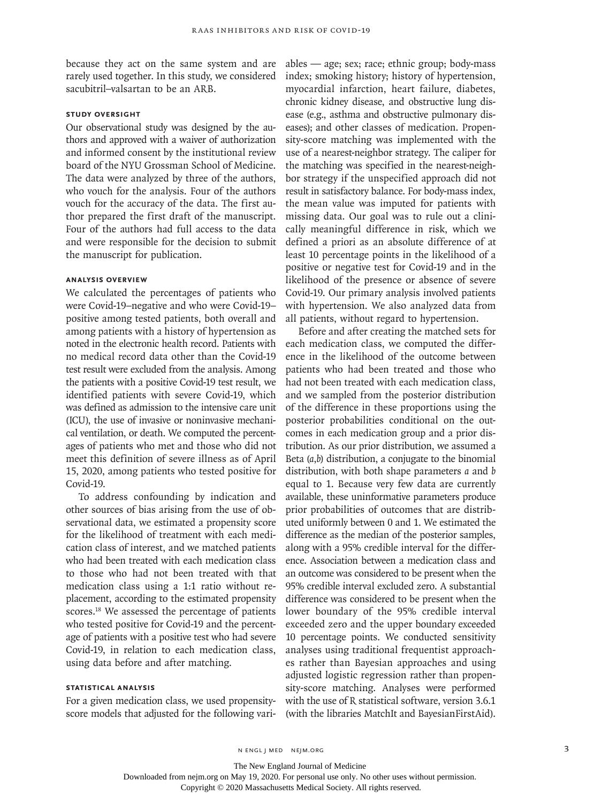because they act on the same system and are rarely used together. In this study, we considered sacubitril–valsartan to be an ARB.

## **Study Oversight**

Our observational study was designed by the authors and approved with a waiver of authorization and informed consent by the institutional review board of the NYU Grossman School of Medicine. The data were analyzed by three of the authors, who vouch for the analysis. Four of the authors vouch for the accuracy of the data. The first author prepared the first draft of the manuscript. Four of the authors had full access to the data and were responsible for the decision to submit the manuscript for publication.

#### **Analysis Overview**

We calculated the percentages of patients who were Covid-19–negative and who were Covid-19– positive among tested patients, both overall and among patients with a history of hypertension as noted in the electronic health record. Patients with no medical record data other than the Covid-19 test result were excluded from the analysis. Among the patients with a positive Covid-19 test result, we identified patients with severe Covid-19, which was defined as admission to the intensive care unit (ICU), the use of invasive or noninvasive mechanical ventilation, or death. We computed the percentages of patients who met and those who did not meet this definition of severe illness as of April 15, 2020, among patients who tested positive for Covid-19.

To address confounding by indication and other sources of bias arising from the use of observational data, we estimated a propensity score for the likelihood of treatment with each medication class of interest, and we matched patients who had been treated with each medication class to those who had not been treated with that medication class using a 1:1 ratio without replacement, according to the estimated propensity scores.<sup>18</sup> We assessed the percentage of patients who tested positive for Covid-19 and the percentage of patients with a positive test who had severe Covid-19, in relation to each medication class, using data before and after matching.

#### **Statistical Analysis**

For a given medication class, we used propensityscore models that adjusted for the following variables — age; sex; race; ethnic group; body-mass index; smoking history; history of hypertension, myocardial infarction, heart failure, diabetes, chronic kidney disease, and obstructive lung disease (e.g., asthma and obstructive pulmonary diseases); and other classes of medication. Propensity-score matching was implemented with the use of a nearest-neighbor strategy. The caliper for the matching was specified in the nearest-neighbor strategy if the unspecified approach did not result in satisfactory balance. For body-mass index, the mean value was imputed for patients with missing data. Our goal was to rule out a clinically meaningful difference in risk, which we defined a priori as an absolute difference of at least 10 percentage points in the likelihood of a positive or negative test for Covid-19 and in the likelihood of the presence or absence of severe Covid-19. Our primary analysis involved patients with hypertension. We also analyzed data from all patients, without regard to hypertension.

Before and after creating the matched sets for each medication class, we computed the difference in the likelihood of the outcome between patients who had been treated and those who had not been treated with each medication class, and we sampled from the posterior distribution of the difference in these proportions using the posterior probabilities conditional on the outcomes in each medication group and a prior distribution. As our prior distribution, we assumed a Beta (*a*,*b*) distribution, a conjugate to the binomial distribution, with both shape parameters *a* and *b* equal to 1. Because very few data are currently available, these uninformative parameters produce prior probabilities of outcomes that are distributed uniformly between 0 and 1. We estimated the difference as the median of the posterior samples, along with a 95% credible interval for the difference. Association between a medication class and an outcome was considered to be present when the 95% credible interval excluded zero. A substantial difference was considered to be present when the lower boundary of the 95% credible interval exceeded zero and the upper boundary exceeded 10 percentage points. We conducted sensitivity analyses using traditional frequentist approaches rather than Bayesian approaches and using adjusted logistic regression rather than propensity-score matching. Analyses were performed with the use of R statistical software, version 3.6.1 (with the libraries MatchIt and BayesianFirstAid).

n engl j med nejm.org 3

The New England Journal of Medicine

Downloaded from nejm.org on May 19, 2020. For personal use only. No other uses without permission.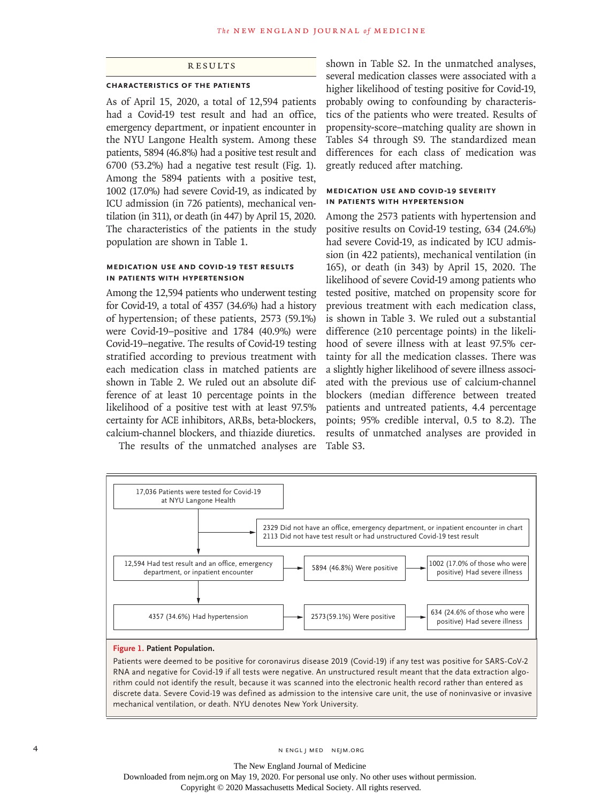#### Results

#### **Characteristics of the Patients**

As of April 15, 2020, a total of 12,594 patients had a Covid-19 test result and had an office, emergency department, or inpatient encounter in the NYU Langone Health system. Among these patients, 5894 (46.8%) had a positive test result and 6700 (53.2%) had a negative test result (Fig. 1). Among the 5894 patients with a positive test, 1002 (17.0%) had severe Covid-19, as indicated by ICU admission (in 726 patients), mechanical ventilation (in 311), or death (in 447) by April 15, 2020. The characteristics of the patients in the study population are shown in Table 1.

#### **Medication Use and Covid-19 Test Results in Patients with Hypertension**

Among the 12,594 patients who underwent testing for Covid-19, a total of 4357 (34.6%) had a history of hypertension; of these patients, 2573 (59.1%) were Covid-19–positive and 1784 (40.9%) were Covid-19–negative. The results of Covid-19 testing stratified according to previous treatment with each medication class in matched patients are shown in Table 2. We ruled out an absolute difference of at least 10 percentage points in the likelihood of a positive test with at least 97.5% certainty for ACE inhibitors, ARBs, beta-blockers, calcium-channel blockers, and thiazide diuretics.

The results of the unmatched analyses are

shown in Table S2. In the unmatched analyses, several medication classes were associated with a higher likelihood of testing positive for Covid-19, probably owing to confounding by characteristics of the patients who were treated. Results of propensity-score–matching quality are shown in Tables S4 through S9. The standardized mean differences for each class of medication was greatly reduced after matching.

#### **Medication Use and Covid-19 Severity in Patients with Hypertension**

Among the 2573 patients with hypertension and positive results on Covid-19 testing, 634 (24.6%) had severe Covid-19, as indicated by ICU admission (in 422 patients), mechanical ventilation (in 165), or death (in 343) by April 15, 2020. The likelihood of severe Covid-19 among patients who tested positive, matched on propensity score for previous treatment with each medication class, is shown in Table 3. We ruled out a substantial difference  $(≥10$  percentage points) in the likelihood of severe illness with at least 97.5% certainty for all the medication classes. There was a slightly higher likelihood of severe illness associated with the previous use of calcium-channel blockers (median difference between treated patients and untreated patients, 4.4 percentage points; 95% credible interval, 0.5 to 8.2). The results of unmatched analyses are provided in Table S3.



4 **n** engl j med neglecting in the neglection of  $\alpha$  is neglected in the neglection of  $\alpha$ 

The New England Journal of Medicine

Downloaded from nejm.org on May 19, 2020. For personal use only. No other uses without permission.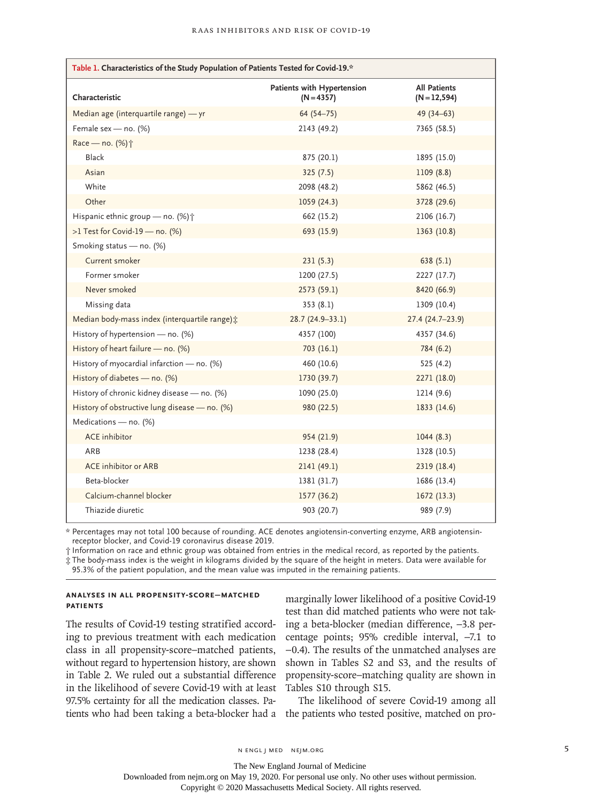| Table 1. Characteristics of the Study Population of Patients Tested for Covid-19.* |                                            |                                     |
|------------------------------------------------------------------------------------|--------------------------------------------|-------------------------------------|
| Characteristic                                                                     | Patients with Hypertension<br>$(N = 4357)$ | <b>All Patients</b><br>$(N=12,594)$ |
| Median age (interquartile range) - yr                                              | $64(54 - 75)$                              | $49(34-63)$                         |
| Female sex - no. (%)                                                               | 2143 (49.2)                                | 7365 (58.5)                         |
| Race - no. (%) <sup>+</sup>                                                        |                                            |                                     |
| <b>Black</b>                                                                       | 875 (20.1)                                 | 1895 (15.0)                         |
| Asian                                                                              | 325(7.5)                                   | 1109(8.8)                           |
| White                                                                              | 2098 (48.2)                                | 5862 (46.5)                         |
| Other                                                                              | 1059 (24.3)                                | 3728 (29.6)                         |
| Hispanic ethnic group - no. (%) <sup>+</sup>                                       | 662 (15.2)                                 | 2106 (16.7)                         |
| >1 Test for Covid-19 - no. (%)                                                     | 693 (15.9)                                 | 1363 (10.8)                         |
| Smoking status - no. (%)                                                           |                                            |                                     |
| Current smoker                                                                     | 231(5.3)                                   | 638(5.1)                            |
| Former smoker                                                                      | 1200 (27.5)                                | 2227 (17.7)                         |
| Never smoked                                                                       | 2573 (59.1)                                | 8420 (66.9)                         |
| Missing data                                                                       | 353(8.1)                                   | 1309 (10.4)                         |
| Median body-mass index (interquartile range) :                                     | 28.7 (24.9-33.1)                           | 27.4 (24.7-23.9)                    |
| History of hypertension - no. (%)                                                  | 4357 (100)                                 | 4357 (34.6)                         |
| History of heart failure - no. (%)                                                 | 703 (16.1)                                 | 784 (6.2)                           |
| History of myocardial infarction - no. (%)                                         | 460 (10.6)                                 | 525(4.2)                            |
| History of diabetes - no. (%)                                                      | 1730 (39.7)                                | 2271 (18.0)                         |
| History of chronic kidney disease - no. (%)                                        | 1090 (25.0)                                | 1214 (9.6)                          |
| History of obstructive lung disease - no. (%)                                      | 980 (22.5)                                 | 1833 (14.6)                         |
| Medications - no. (%)                                                              |                                            |                                     |
| <b>ACE</b> inhibitor                                                               | 954 (21.9)                                 | 1044(8.3)                           |
| ARB                                                                                | 1238 (28.4)                                | 1328 (10.5)                         |
| <b>ACE</b> inhibitor or ARB                                                        | 2141 (49.1)                                | 2319 (18.4)                         |
| Beta-blocker                                                                       | 1381 (31.7)                                | 1686 (13.4)                         |
| Calcium-channel blocker                                                            | 1577 (36.2)                                | 1672(13.3)                          |
| Thiazide diuretic                                                                  | 903 (20.7)                                 | 989 (7.9)                           |

\* Percentages may not total 100 because of rounding. ACE denotes angiotensin-converting enzyme, ARB angiotensinreceptor blocker, and Covid-19 coronavirus disease 2019.

† Information on race and ethnic group was obtained from entries in the medical record, as reported by the patients.

‡ The body-mass index is the weight in kilograms divided by the square of the height in meters. Data were available for 95.3% of the patient population, and the mean value was imputed in the remaining patients.

#### **Analyses in All Propensity-Score–Matched Patients**

The results of Covid-19 testing stratified according to previous treatment with each medication class in all propensity-score–matched patients, without regard to hypertension history, are shown in Table 2. We ruled out a substantial difference in the likelihood of severe Covid-19 with at least 97.5% certainty for all the medication classes. Patients who had been taking a beta-blocker had a the patients who tested positive, matched on pro-

marginally lower likelihood of a positive Covid-19 test than did matched patients who were not taking a beta-blocker (median difference, −3.8 percentage points; 95% credible interval, −7.1 to −0.4). The results of the unmatched analyses are shown in Tables S2 and S3, and the results of propensity-score–matching quality are shown in Tables S10 through S15.

The likelihood of severe Covid-19 among all

The New England Journal of Medicine

Downloaded from nejm.org on May 19, 2020. For personal use only. No other uses without permission.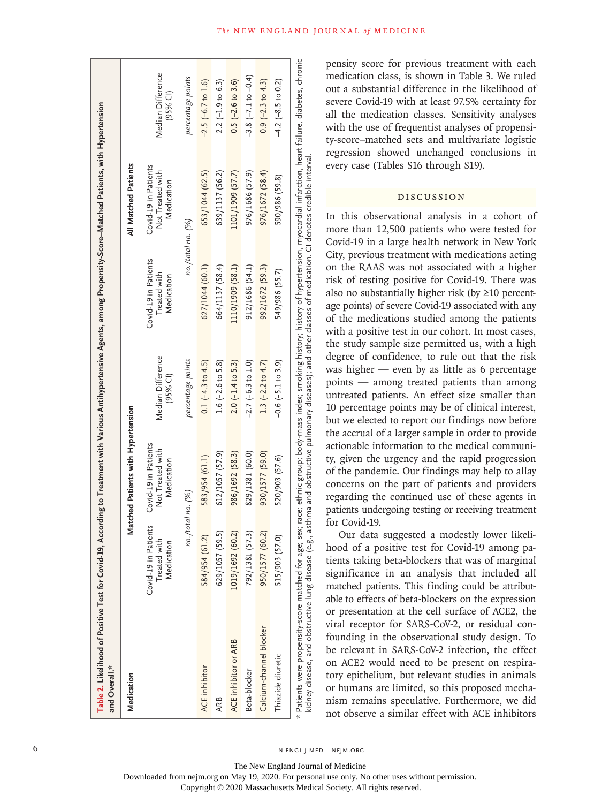Median Difference Median Difference percentage points  $-3.8$   $(-7.1$  to  $-0.4)$ Beta-blocker 79.31 (57.31 (57.3 to −2.7 (−5.3 to 1.0) −2.7 (−6.3 to 1.0) 92.7 (−5.3 to 1.0, 92.1 to −0.4) 912/1<br>Beta-blocker 79.8 (−7.1 to −0.4) *no./total no. (%) percentage points no./total no. (%) percentage points*  $0.5$   $(-2.6$  to  $3.6)$  $0.9$   $(-2.3$  to  $4.3)$  $-2.5 (-6.7 to 1.6)$  $2.2$  (-1.9 to 6.3)  $-4.2$   $(-8.5$  to 0.2) ACE inhibitor 584/954 (61.2) 583/954 (61.1) 0.1 (−4.3 to 4.5) 627/1044 (60.1) 653/1044 (62.5) −2.5 (−6.7 to 1.6) ARB 629/1057 (59.5) 612/1057 (57.9) 1.6 (−2.6 to 5.8) 664/1137 (58.4) 639/1137 (56.2) 2.2 (−1.9 to 6.3) ACE inhibitor or ARB 1019/1692 (60.2) 386/1692 (58.3) 2.0 (−1.4 to 5.3) 1110/1909 (58.1) 1101/1909 (57.7) 0.5 (−2.6 to 3.6) Calcium-channel blocker 950/1577 (60.2) 930/1577 (59.0) 1.3 (−2.2 to 4.7) 992/1672 (59.3) 976/1672 (58.4) 0.9 (−2.3 to 4.3) Thiazide diuretic 515/903 (580,980 549) 540/986 (57.6) 549/986 (57.6) 549/986 (55.7) 590/986 549/986 (59.8) 590/<br>Thiazide diuretic 50.5/903 590/900 549 (95% CI) **Table 2. Likelihood of Positive Test for Covid-19, According to Treatment with Various Antihypertensive Agents, among Propensity-Score–Matched Patients, with Hypertension**  Table 2. Likelihood of Positive Test for Covid-19, According to Treatment with Various Antihypertensive Agents, among Propensity-Score-Matched Patients, with Hypertension All Matched Patients **Medication Matched Patients with Hypertension All Matched Patients** Covid-19 in Patients Covid-19 in Patients Not Treated with 653/1044 (62.5) 639/1137 (56.2) 1101/1909 (57.7) 976/1686 (57.9) 976/1672 (58.4) Not Treated with 590/986 (59.8) Medication Medication no./total no. (%) Covid-19 in Patients Covid-19 in Patients 627/1044 (60.1) 1110/1909 (58.1) 664/1137 (58.4) 912/1686 (54.1) 992/1672 (59.3) 549/986 (55.7) Treated with Medication Treated with Medication Median Difference Median Difference percentage points  $0.1 (-4.3 to 4.5)$  $-2.7(-6.3 to 1.0)$ 1.3  $(-2.2 \text{ to } 4.7)$ 1.6  $(-2.6 to 5.8)$  $2.0$  (-1.4 to 5.3)  $-0.6$   $(-5.1$  to 3.9) (95% CI) Matched Patients with Hypertension Covid-19 in Patients Covid-19 in Patients Not Treated with Not Treated with 986/1692 (58.3) 829/1381 (60.0) 930/1577 (59.0) 612/1057 (57.9) 583/954 (61.1) 520/903 (57.6) Medication Medication no./total no. (%) Covid-19 in Patients Covid-19 in Patients (019/1692 (60.2) 792/1381 (57.3) 950/1577 (60.2) 629/1057 (59.5) 584/954 (61.2) 515/903 (57.0) Treated with Treated with Medication Medication Calcium-channel blocker ACE inhibitor or ARB Thiazide diuretic ACE inhibitor and Overall.\* **and Overall.\*** Beta-blocker Medication ARB

\* Patients were propensity-score matched for age; sex; race; ethnic group; body-mass index; smoking history; history of hypertension, myocardial infarction, heart failure, diabetes, chronic<br>kidney disease, and obstructive Patients were propensity-score matched for age; sex; race; ethnic group; body-mass index; smoking history; history of hypertension, myocardial infarction, heart failure, diabetes, chronic kidney disease, and obstructive lung disease (e.g., asthma and obstructive pulmonary diseases); and other classes of medication. CI denotes credible interval. pensity score for previous treatment with each medication class, is shown in Table 3. We ruled out a substantial difference in the likelihood of severe Covid-19 with at least 97.5% certainty for all the medication classes. Sensitivity analyses with the use of frequentist analyses of propensi ty-score–matched sets and multivariate logistic regression showed unchanged conclusions in every case (Tables S16 through S19).

### Discussion

In this observational analysis in a cohort of more than 12,500 patients who were tested for Covid-19 in a large health network in New York City, previous treatment with medications acting on the RAAS was not associated with a higher risk of testing positive for Covid-19. There was also no substantially higher risk (by  $\geq 10$  percentage points) of severe Covid-19 associated with any of the medications studied among the patients with a positive test in our cohort. In most cases, the study sample size permitted us, with a high degree of confidence, to rule out that the risk was higher — even by as little as 6 percentage points — among treated patients than among untreated patients. An effect size smaller than 10 percentage points may be of clinical interest, but we elected to report our findings now before the accrual of a larger sample in order to provide actionable information to the medical communi ty, given the urgency and the rapid progression of the pandemic. Our findings may help to allay concerns on the part of patients and providers regarding the continued use of these agents in patients undergoing testing or receiving treatment for Covid-19.

Our data suggested a modestly lower likeli hood of a positive test for Covid-19 among pa tients taking beta-blockers that was of marginal significance in an analysis that included all matched patients. This finding could be attributable to effects of beta-blockers on the expression or presentation at the cell surface of ACE2, the viral receptor for SARS-CoV-2, or residual con founding in the observational study design. To be relevant in SARS-CoV-2 infection, the effect on ACE2 would need to be present on respira tory epithelium, but relevant studies in animals or humans are limited, so this proposed mecha nism remains speculative. Furthermore, we did not observe a similar effect with ACE inhibitors

The New England Journal of Medicine Downloaded from nejm.org on May 19, 2020. For personal use only. No other uses without permission.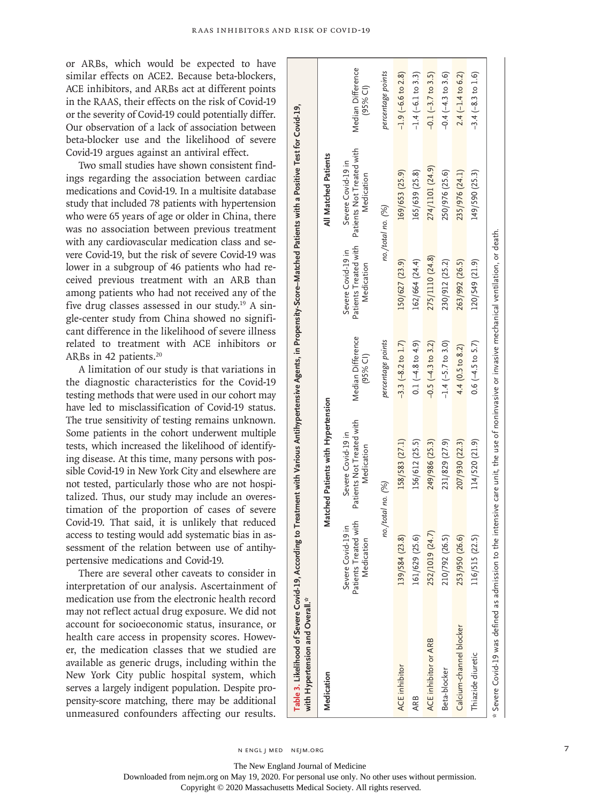or ARBs, which would be expected to have similar effects on ACE2. Because beta-blockers, ACE inhibitors, and ARBs act at different points in the RAAS, their effects on the risk of Covid-19 or the severity of Covid-19 could potentially differ. Our observation of a lack of association between beta-blocker use and the likelihood of severe Covid-19 argues against an antiviral effect.

Two small studies have shown consistent find ings regarding the association between cardiac medications and Covid-19. In a multisite database study that included 78 patients with hypertension who were 65 years of age or older in China, there was no association between previous treatment with any cardiovascular medication class and se vere Covid-19, but the risk of severe Covid-19 was lower in a subgroup of 46 patients who had received previous treatment with an ARB than among patients who had not received any of the five drug classes assessed in our study.<sup>19</sup> A single-center study from China showed no signifi cant difference in the likelihood of severe illness related to treatment with ACE inhibitors or ARBs in 42 patients.<sup>20</sup>

A limitation of our study is that variations in the diagnostic characteristics for the Covid-19 testing methods that were used in our cohort may have led to misclassification of Covid-19 status. The true sensitivity of testing remains unknown. Some patients in the cohort underwent multiple tests, which increased the likelihood of identifying disease. At this time, many persons with possible Covid-19 in New York City and elsewhere are not tested, particularly those who are not hospi talized. Thus, our study may include an overes timation of the proportion of cases of severe Covid-19. That said, it is unlikely that reduced access to testing would add systematic bias in as sessment of the relation between use of antihypertensive medications and Covid-19.

There are several other caveats to consider in interpretation of our analysis. Ascertainment of medication use from the electronic health record may not reflect actual drug exposure. We did not account for socioeconomic status, insurance, or health care access in propensity scores. Howev er, the medication classes that we studied are available as generic drugs, including within the New York City public hospital system, which serves a largely indigent population. Despite pro pensity-score matching, there may be additional unmeasured confounders affecting our results.

| with Hypertension and Overall.*                                                                                                             |                                                           |                                                               |                                 |                                                           |                                                               |                               |
|---------------------------------------------------------------------------------------------------------------------------------------------|-----------------------------------------------------------|---------------------------------------------------------------|---------------------------------|-----------------------------------------------------------|---------------------------------------------------------------|-------------------------------|
| Medication                                                                                                                                  |                                                           | Matched Patients with Hypertension                            |                                 |                                                           | All Matched Patients                                          |                               |
|                                                                                                                                             | Patients Treated with<br>Severe Covid-19 in<br>Medication | Patients Not Treated with<br>Severe Covid-19 in<br>Medication | Median Difference<br>$(95%$ CI) | Patients Treated with<br>Severe Covid-19 in<br>Medication | Patients Not Treated with<br>Severe Covid-19 in<br>Medication | Median Difference<br>(95% Cl) |
|                                                                                                                                             |                                                           | $0.$ /total no. $(%)$                                         | percentage points               |                                                           | no./total no. (%)                                             | percentage points             |
| <b>ACE</b> inhibitor                                                                                                                        | 139/584 (23.8)                                            | 158/583 (27.1)                                                | $-3.3$ $(-8.2$ to 1.7)          | 150/627 (23.9)                                            | 169/653 (25.9)                                                | $-1.9$ ( $-6.6$ to $2.8$ )    |
| <b>ARB</b>                                                                                                                                  | 161/629 (25.6)                                            | 156/612 (25.5)                                                | $0.1 (-4.8 to 4.9)$             | 162/664 (24.4)                                            | 165/639 (25.8)                                                | $-1.4$ ( $-6.1$ to 3.3)       |
| ACE inhibitor or ARB                                                                                                                        | 252/1019 (24.7                                            | 249/986 (25.3)                                                | $-0.5$ ( $-4.3$ to 3.2)         | 275/1110 (24.8)                                           | 274/1101 (24.9)                                               | $-0.1$ $(-3.7$ to 3.5)        |
| Beta-blocker                                                                                                                                | 210/792 (26.5)                                            | 231/829 (27.9)                                                | $-1.4$ $(-5.7$ to 3.0)          | 230/912 (25.2)                                            | 250/976 (25.6)                                                | $-0.4$ $(-4.3$ to 3.6)        |
| Calcium-channel blocker                                                                                                                     | 253/950 (26.6)                                            | 207/930 (22.3)                                                | 4.4 (0.5 to 8.2)                | 263/992 (26.5)                                            | 235/976 (24.1)                                                | $2.4$ (-1.4 to 6.2)           |
| Thiazide diuretic                                                                                                                           | 116/515(22.5)                                             | 114/520 (21.9)                                                | $0.6 (-4.5 to 5.7)$             | 120/549 (21.9)                                            | 149/590 (25.3)                                                | $-3.4 (-8.3 to 1.6)$          |
| * Severe Covid-19 was defined as admission to the intensive care unit, the use of noninvasive or invasive mechanical ventilation, or death. |                                                           |                                                               |                                 |                                                           |                                                               |                               |

n engl j med nejm.org

The New England Journal of Medicine

**Table 3. Likelihood of Severe Covid-19, According to Treatment with Various Antihypertensive Agents, in Propensity-Score–Matched Patients with a Positive Test for Covid-19,** 

Table 3. Likelihood of Severe Covid-19, According to Treatment with Various Antihypertensive Agents, in Propensity-Score–Matched Patients with a Positive Test for Covid-19,

Downloaded from nejm.org on May 19, 2020. For personal use only. No other uses without permission.

Copyright © 2020 Massachusetts Medical Society. All rights reserved.